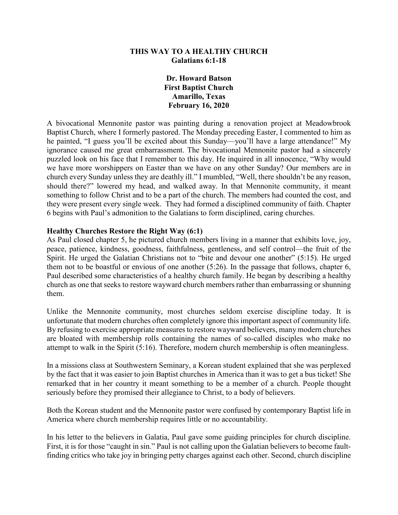#### **THIS WAY TO A HEALTHY CHURCH Galatians 6:1-18**

**Dr. Howard Batson First Baptist Church Amarillo, Texas February 16, 2020**

A bivocational Mennonite pastor was painting during a renovation project at Meadowbrook Baptist Church, where I formerly pastored. The Monday preceding Easter, I commented to him as he painted, "I guess you'll be excited about this Sunday—you'll have a large attendance!" My ignorance caused me great embarrassment. The bivocational Mennonite pastor had a sincerely puzzled look on his face that I remember to this day. He inquired in all innocence, "Why would we have more worshippers on Easter than we have on any other Sunday? Our members are in church every Sunday unless they are deathly ill." I mumbled, "Well, there shouldn't be any reason, should there?" lowered my head, and walked away. In that Mennonite community, it meant something to follow Christ and to be a part of the church. The members had counted the cost, and they were present every single week. They had formed a disciplined community of faith. Chapter 6 begins with Paul's admonition to the Galatians to form disciplined, caring churches.

#### **Healthy Churches Restore the Right Way (6:1)**

As Paul closed chapter 5, he pictured church members living in a manner that exhibits love, joy, peace, patience, kindness, goodness, faithfulness, gentleness, and self control—the fruit of the Spirit. He urged the Galatian Christians not to "bite and devour one another" (5:15). He urged them not to be boastful or envious of one another (5:26). In the passage that follows, chapter 6, Paul described some characteristics of a healthy church family. He began by describing a healthy church as one that seeks to restore wayward church members rather than embarrassing or shunning them.

Unlike the Mennonite community, most churches seldom exercise discipline today. It is unfortunate that modern churches often completely ignore this important aspect of community life. By refusing to exercise appropriate measures to restore wayward believers, many modern churches are bloated with membership rolls containing the names of so-called disciples who make no attempt to walk in the Spirit (5:16). Therefore, modern church membership is often meaningless.

In a missions class at Southwestern Seminary, a Korean student explained that she was perplexed by the fact that it was easier to join Baptist churches in America than it was to get a bus ticket! She remarked that in her country it meant something to be a member of a church. People thought seriously before they promised their allegiance to Christ, to a body of believers.

Both the Korean student and the Mennonite pastor were confused by contemporary Baptist life in America where church membership requires little or no accountability.

In his letter to the believers in Galatia, Paul gave some guiding principles for church discipline. First, it is for those "caught in sin." Paul is not calling upon the Galatian believers to become faultfinding critics who take joy in bringing petty charges against each other. Second, church discipline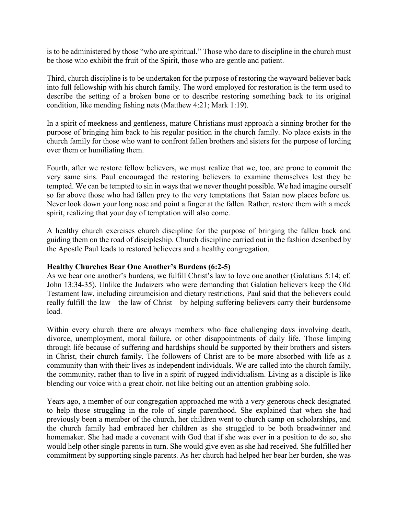is to be administered by those "who are spiritual." Those who dare to discipline in the church must be those who exhibit the fruit of the Spirit, those who are gentle and patient.

Third, church discipline is to be undertaken for the purpose of restoring the wayward believer back into full fellowship with his church family. The word employed for restoration is the term used to describe the setting of a broken bone or to describe restoring something back to its original condition, like mending fishing nets (Matthew 4:21; Mark 1:19).

In a spirit of meekness and gentleness, mature Christians must approach a sinning brother for the purpose of bringing him back to his regular position in the church family. No place exists in the church family for those who want to confront fallen brothers and sisters for the purpose of lording over them or humiliating them.

Fourth, after we restore fellow believers, we must realize that we, too, are prone to commit the very same sins. Paul encouraged the restoring believers to examine themselves lest they be tempted. We can be tempted to sin in ways that we never thought possible. We had imagine ourself so far above those who had fallen prey to the very temptations that Satan now places before us. Never look down your long nose and point a finger at the fallen. Rather, restore them with a meek spirit, realizing that your day of temptation will also come.

A healthy church exercises church discipline for the purpose of bringing the fallen back and guiding them on the road of discipleship. Church discipline carried out in the fashion described by the Apostle Paul leads to restored believers and a healthy congregation.

#### **Healthy Churches Bear One Another's Burdens (6:2-5)**

As we bear one another's burdens, we fulfill Christ's law to love one another (Galatians 5:14; cf. John 13:34-35). Unlike the Judaizers who were demanding that Galatian believers keep the Old Testament law, including circumcision and dietary restrictions, Paul said that the believers could really fulfill the law—the law of Christ—by helping suffering believers carry their burdensome load.

Within every church there are always members who face challenging days involving death, divorce, unemployment, moral failure, or other disappointments of daily life. Those limping through life because of suffering and hardships should be supported by their brothers and sisters in Christ, their church family. The followers of Christ are to be more absorbed with life as a community than with their lives as independent individuals. We are called into the church family, the community, rather than to live in a spirit of rugged individualism. Living as a disciple is like blending our voice with a great choir, not like belting out an attention grabbing solo.

Years ago, a member of our congregation approached me with a very generous check designated to help those struggling in the role of single parenthood. She explained that when she had previously been a member of the church, her children went to church camp on scholarships, and the church family had embraced her children as she struggled to be both breadwinner and homemaker. She had made a covenant with God that if she was ever in a position to do so, she would help other single parents in turn. She would give even as she had received. She fulfilled her commitment by supporting single parents. As her church had helped her bear her burden, she was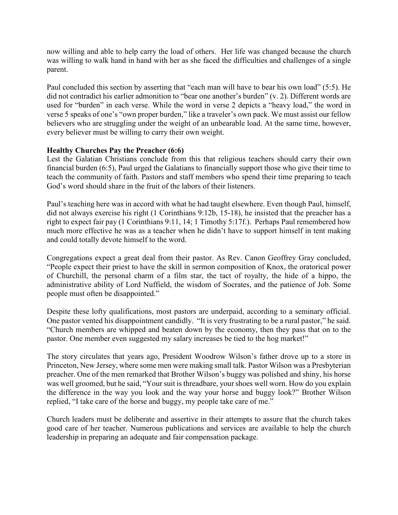now willing and able to help carry the load of others. Her life was changed because the church was willing to walk hand in hand with her as she faced the difficulties and challenges of a single parent.

Paul concluded this section by asserting that "each man will have to bear his own load" (5:5). He did not contradict his earlier admonition to "bear one another's burden" (v. 2). Different words are used for "burden" in each verse. While the word in verse 2 depicts a "heavy load," the word in verse 5 speaks of one's "own proper burden," like a traveler's own pack. We must assist our fellow believers who are struggling under the weight of an unbearable load. At the same time, however, every believer must be willing to carry their own weight.

## **Healthy Churches Pay the Preacher (6:6)**

Lest the Galatian Christians conclude from this that religious teachers should carry their own financial burden (6:5), Paul urged the Galatians to financially support those who give their time to teach the community of faith. Pastors and staff members who spend their time preparing to teach God's word should share in the fruit of the labors of their listeners.

Paul's teaching here was in accord with what he had taught elsewhere. Even though Paul, himself, did not always exercise his right (1 Corinthians 9:12b, 15-18), he insisted that the preacher has a right to expect fair pay (1 Corinthians 9:11, 14; 1 Timothy 5:17f.). Perhaps Paul remembered how much more effective he was as a teacher when he didn't have to support himself in tent making and could totally devote himself to the word.

Congregations expect a great deal from their pastor. As Rev. Canon Geoffrey Gray concluded, "People expect their priest to have the skill in sermon composition of Knox, the oratorical power of Churchill, the personal charm of a film star, the tact of royalty, the hide of a hippo, the administrative ability of Lord Nuffield, the wisdom of Socrates, and the patience of Job. Some people must often be disappointed."

Despite these lofty qualifications, most pastors are underpaid, according to a seminary official. One pastor vented his disappointment candidly. "It is very frustrating to be a rural pastor," he said. "Church members are whipped and beaten down by the economy, then they pass that on to the pastor. One member even suggested my salary increases be tied to the hog market!"

The story circulates that years ago, President Woodrow Wilson's father drove up to a store in Princeton, New Jersey, where some men were making small talk. Pastor Wilson was a Presbyterian preacher. One of the men remarked that Brother Wilson's buggy was polished and shiny, his horse was well groomed, but he said, "Your suit is threadbare, your shoes well worn. How do you explain the difference in the way you look and the way your horse and buggy look?" Brother Wilson replied, "I take care of the horse and buggy, my people take care of me."

Church leaders must be deliberate and assertive in their attempts to assure that the church takes good care of her teacher. Numerous publications and services are available to help the church leadership in preparing an adequate and fair compensation package.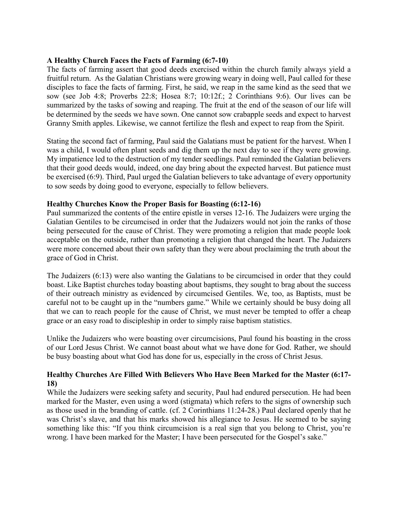### **A Healthy Church Faces the Facts of Farming (6:7-10)**

The facts of farming assert that good deeds exercised within the church family always yield a fruitful return. As the Galatian Christians were growing weary in doing well, Paul called for these disciples to face the facts of farming. First, he said, we reap in the same kind as the seed that we sow (see Job 4:8; Proverbs 22:8; Hosea 8:7; 10:12f.; 2 Corinthians 9:6). Our lives can be summarized by the tasks of sowing and reaping. The fruit at the end of the season of our life will be determined by the seeds we have sown. One cannot sow crabapple seeds and expect to harvest Granny Smith apples. Likewise, we cannot fertilize the flesh and expect to reap from the Spirit.

Stating the second fact of farming, Paul said the Galatians must be patient for the harvest. When I was a child, I would often plant seeds and dig them up the next day to see if they were growing. My impatience led to the destruction of my tender seedlings. Paul reminded the Galatian believers that their good deeds would, indeed, one day bring about the expected harvest. But patience must be exercised (6:9). Third, Paul urged the Galatian believers to take advantage of every opportunity to sow seeds by doing good to everyone, especially to fellow believers.

## **Healthy Churches Know the Proper Basis for Boasting (6:12-16)**

Paul summarized the contents of the entire epistle in verses 12-16. The Judaizers were urging the Galatian Gentiles to be circumcised in order that the Judaizers would not join the ranks of those being persecuted for the cause of Christ. They were promoting a religion that made people look acceptable on the outside, rather than promoting a religion that changed the heart. The Judaizers were more concerned about their own safety than they were about proclaiming the truth about the grace of God in Christ.

The Judaizers (6:13) were also wanting the Galatians to be circumcised in order that they could boast. Like Baptist churches today boasting about baptisms, they sought to brag about the success of their outreach ministry as evidenced by circumcised Gentiles. We, too, as Baptists, must be careful not to be caught up in the "numbers game." While we certainly should be busy doing all that we can to reach people for the cause of Christ, we must never be tempted to offer a cheap grace or an easy road to discipleship in order to simply raise baptism statistics.

Unlike the Judaizers who were boasting over circumcisions, Paul found his boasting in the cross of our Lord Jesus Christ. We cannot boast about what we have done for God. Rather, we should be busy boasting about what God has done for us, especially in the cross of Christ Jesus.

# **Healthy Churches Are Filled With Believers Who Have Been Marked for the Master (6:17- 18)**

While the Judaizers were seeking safety and security, Paul had endured persecution. He had been marked for the Master, even using a word (stigmata) which refers to the signs of ownership such as those used in the branding of cattle. (cf. 2 Corinthians 11:24-28.) Paul declared openly that he was Christ's slave, and that his marks showed his allegiance to Jesus. He seemed to be saying something like this: "If you think circumcision is a real sign that you belong to Christ, you're wrong. I have been marked for the Master; I have been persecuted for the Gospel's sake."